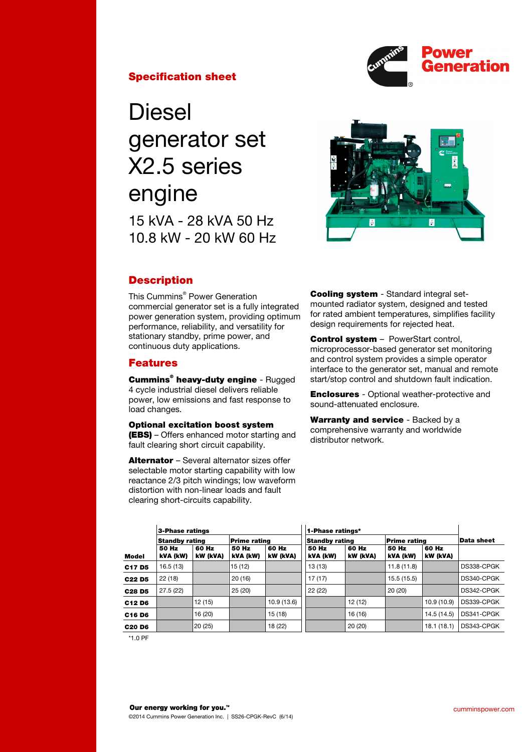

## Specification sheet

Diesel generator set X2.5 series engine 15 kVA - 28 kVA 50 Hz 10.8 kW - 20 kW 60 Hz



# **Description**

This Cummins® Power Generation commercial generator set is a fully integrated power generation system, providing optimum performance, reliability, and versatility for stationary standby, prime power, and continuous duty applications.

## Features

**Cummins<sup>®</sup> heavy-duty engine - Rugged** 4 cycle industrial diesel delivers reliable power, low emissions and fast response to load changes.

## Optional excitation boost system

(EBS) – Offers enhanced motor starting and fault clearing short circuit capability.

Alternator - Several alternator sizes offer selectable motor starting capability with low reactance 2/3 pitch windings; low waveform distortion with non-linear loads and fault clearing short-circuits capability.

Cooling system - Standard integral setmounted radiator system, designed and tested for rated ambient temperatures, simplifies facility design requirements for rejected heat.

**Control system - PowerStart control.** microprocessor-based generator set monitoring and control system provides a simple operator interface to the generator set, manual and remote start/stop control and shutdown fault indication.

Enclosures - Optional weather-protective and sound-attenuated enclosure.

Warranty and service - Backed by a comprehensive warranty and worldwide distributor network.

|                                | 3-Phase ratings       |                   |                     |                   | 1-Phase ratings*      |                   |                   |                   |            |  |
|--------------------------------|-----------------------|-------------------|---------------------|-------------------|-----------------------|-------------------|-------------------|-------------------|------------|--|
|                                | <b>Standby rating</b> |                   | <b>Prime rating</b> |                   | <b>Standby rating</b> |                   | Prime rating      |                   | Data sheet |  |
| Model                          | 50 Hz<br>kVA (kW)     | 60 Hz<br>kW (kVA) | 50 Hz<br>kVA (kW)   | 60 Hz<br>kW (kVA) | 50 Hz<br>kVA (kW)     | 60 Hz<br>kW (kVA) | 50 Hz<br>kVA (kW) | 60 Hz<br>kW (kVA) |            |  |
| C <sub>17</sub> D <sub>5</sub> | 16.5(13)              |                   | 15 (12)             |                   | 13 (13)               |                   | 11.8(11.8)        |                   | DS338-CPGK |  |
| C <sub>22</sub> D <sub>5</sub> | 22(18)                |                   | 20(16)              |                   | 17(17)                |                   | 15.5 (15.5)       |                   | DS340-CPGK |  |
| C <sub>28</sub> D <sub>5</sub> | 27.5 (22)             |                   | 25(20)              |                   | 22(22)                |                   | 20(20)            |                   | DS342-CPGK |  |
| C <sub>12</sub> D <sub>6</sub> |                       | 12 (15)           |                     | 10.9 (13.6)       |                       | 12 (12)           |                   | 10.9(10.9)        | DS339-CPGK |  |
| C <sub>16</sub> D <sub>6</sub> |                       | 16 (20)           |                     | 15 (18)           |                       | 16 (16)           |                   | 14.5 (14.5)       | DS341-CPGK |  |
| <b>C20 D6</b>                  |                       | 20(25)            |                     | 18 (22)           |                       | 20(20)            |                   | 18.1(18.1)        | DS343-CPGK |  |

\*1.0 PF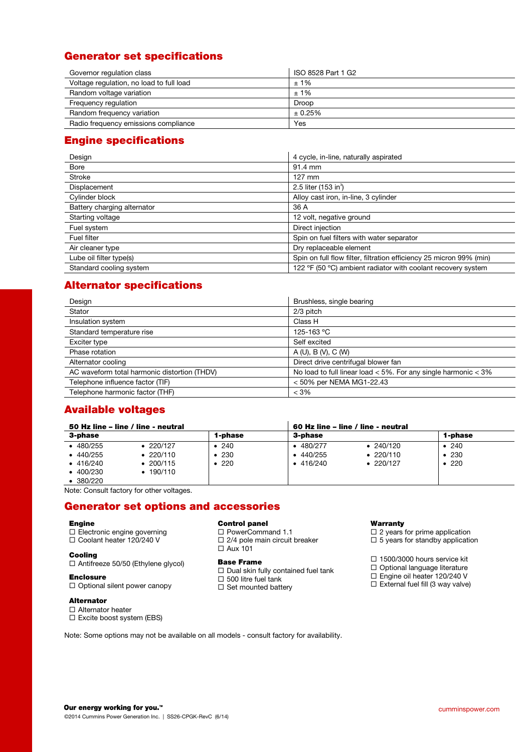# Generator set specifications

| Governor regulation class                | ISO 8528 Part 1 G2 |
|------------------------------------------|--------------------|
| Voltage regulation, no load to full load | ±1%                |
| Random voltage variation                 | ±1%                |
| Frequency regulation                     | Droop              |
| Random frequency variation               | ± 0.25%            |
| Radio frequency emissions compliance     | Yes                |

# Engine specifications

| Design                      | 4 cycle, in-line, naturally aspirated                               |
|-----------------------------|---------------------------------------------------------------------|
| <b>Bore</b>                 | 91.4 mm                                                             |
| <b>Stroke</b>               | $127$ mm                                                            |
| Displacement                | 2.5 liter (153 in <sup>3</sup> )                                    |
| Cylinder block              | Alloy cast iron, in-line, 3 cylinder                                |
| Battery charging alternator | 36 A                                                                |
| Starting voltage            | 12 volt, negative ground                                            |
| Fuel system                 | Direct injection                                                    |
| <b>Fuel filter</b>          | Spin on fuel filters with water separator                           |
| Air cleaner type            | Dry replaceable element                                             |
| Lube oil filter type(s)     | Spin on full flow filter, filtration efficiency 25 micron 99% (min) |
| Standard cooling system     | 122 °F (50 °C) ambient radiator with coolant recovery system        |

# Alternator specifications

| Design                                       | Brushless, single bearing                                          |
|----------------------------------------------|--------------------------------------------------------------------|
| Stator                                       | 2/3 pitch                                                          |
| Insulation system                            | Class H                                                            |
| Standard temperature rise                    | 125-163 °C                                                         |
| Exciter type                                 | Self excited                                                       |
| Phase rotation                               | A (U), B (V), C (W)                                                |
| Alternator cooling                           | Direct drive centrifugal blower fan                                |
| AC waveform total harmonic distortion (THDV) | No load to full linear load $<$ 5%. For any single harmonic $<$ 3% |
| Telephone influence factor (TIF)             | < 50% per NEMA MG1-22.43                                           |
| Telephone harmonic factor (THF)              | $< 3\%$                                                            |

# Available voltages

| 1-phase                 |
|-------------------------|
|                         |
| • 240<br>• 230<br>• 220 |
|                         |

Note: Consult factory for other voltages.

# Generator set options and accessories

## Engine

- $\Box$  Electronic engine governing
- □ Coolant heater 120/240 V

### Cooling

□ Antifreeze 50/50 (Ethylene glycol)

#### Enclosure

 $\Box$  Optional silent power canopy

Alternator

#### □ Alternator heater

Excite boost system (EBS)

Control panel

- □ PowerCommand 1.1
- $\Box$  2/4 pole main circuit breaker Aux 101
- 
- Base Frame
- $\Box$  Dual skin fully contained fuel tank  $\square$  500 litre fuel tank
- $\square$  Set mounted battery

### **Warranty**

- $\square$  2 years for prime application
- $\square$  5 years for standby application
- □ 1500/3000 hours service kit
- Optional language literature
- Engine oil heater 120/240 V
- $E = 2$  is  $\frac{1}{2}$  External fuel fill (3 way valve)

Note: Some options may not be available on all models - consult factory for availability.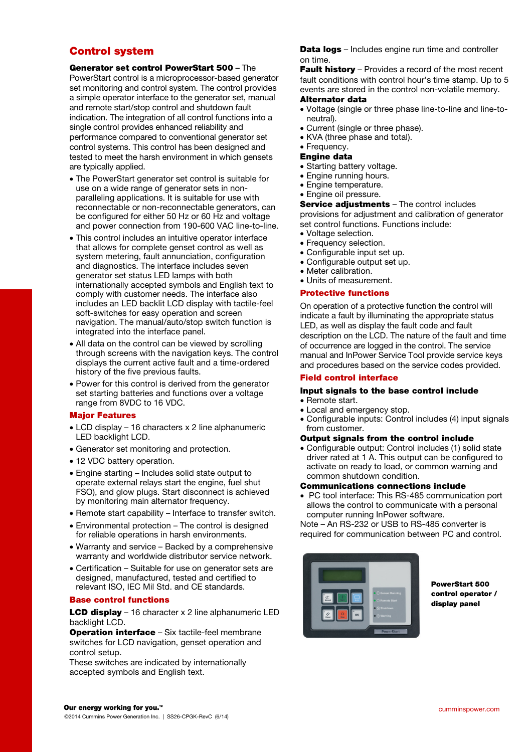## Control system

Generator set control PowerStart 500 – The PowerStart control is a microprocessor-based generator set monitoring and control system. The control provides a simple operator interface to the generator set, manual and remote start/stop control and shutdown fault indication. The integration of all control functions into a single control provides enhanced reliability and performance compared to conventional generator set control systems. This control has been designed and tested to meet the harsh environment in which gensets are typically applied.

- The PowerStart generator set control is suitable for use on a wide range of generator sets in nonparalleling applications. It is suitable for use with reconnectable or non-reconnectable generators, can be configured for either 50 Hz or 60 Hz and voltage and power connection from 190-600 VAC line-to-line.
- This control includes an intuitive operator interface that allows for complete genset control as well as system metering, fault annunciation, configuration and diagnostics. The interface includes seven generator set status LED lamps with both internationally accepted symbols and English text to comply with customer needs. The interface also includes an LED backlit LCD display with tactile-feel soft-switches for easy operation and screen navigation. The manual/auto/stop switch function is integrated into the interface panel.
- All data on the control can be viewed by scrolling through screens with the navigation keys. The control displays the current active fault and a time-ordered history of the five previous faults.
- Power for this control is derived from the generator set starting batteries and functions over a voltage range from 8VDC to 16 VDC.

## Major Features

- LCD display 16 characters x 2 line alphanumeric LED backlight LCD.
- Generator set monitoring and protection.
- 12 VDC battery operation.
- Engine starting Includes solid state output to operate external relays start the engine, fuel shut FSO), and glow plugs. Start disconnect is achieved by monitoring main alternator frequency.
- Remote start capability Interface to transfer switch.
- Environmental protection The control is designed for reliable operations in harsh environments.
- Warranty and service Backed by a comprehensive warranty and worldwide distributor service network.
- Certification Suitable for use on generator sets are designed, manufactured, tested and certified to relevant ISO, IEC Mil Std. and CE standards.

## Base control functions

**LCD display** – 16 character  $x$  2 line alphanumeric LED backlight LCD.

Operation interface - Six tactile-feel membrane switches for LCD navigation, genset operation and control setup.

These switches are indicated by internationally accepted symbols and English text.

**Data logs** – Includes engine run time and controller on time.

Fault history - Provides a record of the most recent fault conditions with control hour's time stamp. Up to 5 events are stored in the control non-volatile memory.

## Alternator data

- Voltage (single or three phase line-to-line and line-toneutral).
- Current (single or three phase).
- KVA (three phase and total).
- Frequency.

## Engine data

- Starting battery voltage.
- Engine running hours.
- Engine temperature.
- Engine oil pressure.

### Service adjustments - The control includes

provisions for adjustment and calibration of generator set control functions. Functions include:

- Voltage selection.
- Frequency selection.
- Configurable input set up.
- Configurable output set up.
- Meter calibration.
- Units of measurement.

## Protective functions

On operation of a protective function the control will indicate a fault by illuminating the appropriate status LED, as well as display the fault code and fault description on the LCD. The nature of the fault and time of occurrence are logged in the control. The service manual and InPower Service Tool provide service keys and procedures based on the service codes provided.

## Field control interface

#### Input signals to the base control include • Remote start.

- Local and emergency stop.
- Configurable inputs: Control includes (4) input signals from customer.

### Output signals from the control include

• Configurable output: Control includes (1) solid state driver rated at 1 A. This output can be configured to activate on ready to load, or common warning and common shutdown condition.

### Communications connections include

• PC tool interface: This RS-485 communication port allows the control to communicate with a personal computer running InPower software.

Note – An RS-232 or USB to RS-485 converter is required for communication between PC and control.



PowerStart 500 control operator / display panel